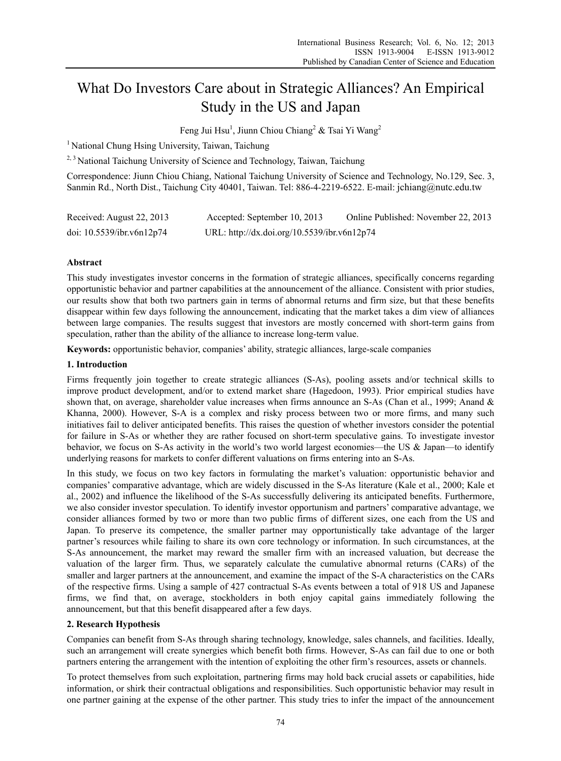# What Do Investors Care about in Strategic Alliances? An Empirical Study in the US and Japan

Feng Jui Hsu<sup>1</sup>, Jiunn Chiou Chiang<sup>2</sup> & Tsai Yi Wang<sup>2</sup>

<sup>1</sup> National Chung Hsing University, Taiwan, Taichung

 $2,3$  National Taichung University of Science and Technology, Taiwan, Taichung

Correspondence: Jiunn Chiou Chiang, National Taichung University of Science and Technology, No.129, Sec. 3, Sanmin Rd., North Dist., Taichung City 40401, Taiwan. Tel: 886-4-2219-6522. E-mail: jchiang@nutc.edu.tw

| Received: August 22, 2013 | Accepted: September 10, 2013                | Online Published: November 22, 2013 |
|---------------------------|---------------------------------------------|-------------------------------------|
| doi: 10.5539/ibr.v6n12p74 | URL: http://dx.doi.org/10.5539/ibr.v6n12p74 |                                     |

# **Abstract**

This study investigates investor concerns in the formation of strategic alliances, specifically concerns regarding opportunistic behavior and partner capabilities at the announcement of the alliance. Consistent with prior studies, our results show that both two partners gain in terms of abnormal returns and firm size, but that these benefits disappear within few days following the announcement, indicating that the market takes a dim view of alliances between large companies. The results suggest that investors are mostly concerned with short-term gains from speculation, rather than the ability of the alliance to increase long-term value.

**Keywords:** opportunistic behavior, companies' ability, strategic alliances, large-scale companies

# **1. Introduction**

Firms frequently join together to create strategic alliances (S-As), pooling assets and/or technical skills to improve product development, and/or to extend market share (Hagedoon, 1993). Prior empirical studies have shown that, on average, shareholder value increases when firms announce an S-As (Chan et al., 1999; Anand & Khanna, 2000). However, S-A is a complex and risky process between two or more firms, and many such initiatives fail to deliver anticipated benefits. This raises the question of whether investors consider the potential for failure in S-As or whether they are rather focused on short-term speculative gains. To investigate investor behavior, we focus on S-As activity in the world's two world largest economies—the US & Japan—to identify underlying reasons for markets to confer different valuations on firms entering into an S-As.

In this study, we focus on two key factors in formulating the market's valuation: opportunistic behavior and companies' comparative advantage, which are widely discussed in the S-As literature (Kale et al., 2000; Kale et al., 2002) and influence the likelihood of the S-As successfully delivering its anticipated benefits. Furthermore, we also consider investor speculation. To identify investor opportunism and partners' comparative advantage, we consider alliances formed by two or more than two public firms of different sizes, one each from the US and Japan. To preserve its competence, the smaller partner may opportunistically take advantage of the larger partner's resources while failing to share its own core technology or information. In such circumstances, at the S-As announcement, the market may reward the smaller firm with an increased valuation, but decrease the valuation of the larger firm. Thus, we separately calculate the cumulative abnormal returns (CARs) of the smaller and larger partners at the announcement, and examine the impact of the S-A characteristics on the CARs of the respective firms. Using a sample of 427 contractual S-As events between a total of 918 US and Japanese firms, we find that, on average, stockholders in both enjoy capital gains immediately following the announcement, but that this benefit disappeared after a few days.

# **2. Research Hypothesis**

Companies can benefit from S-As through sharing technology, knowledge, sales channels, and facilities. Ideally, such an arrangement will create synergies which benefit both firms. However, S-As can fail due to one or both partners entering the arrangement with the intention of exploiting the other firm's resources, assets or channels.

To protect themselves from such exploitation, partnering firms may hold back crucial assets or capabilities, hide information, or shirk their contractual obligations and responsibilities. Such opportunistic behavior may result in one partner gaining at the expense of the other partner. This study tries to infer the impact of the announcement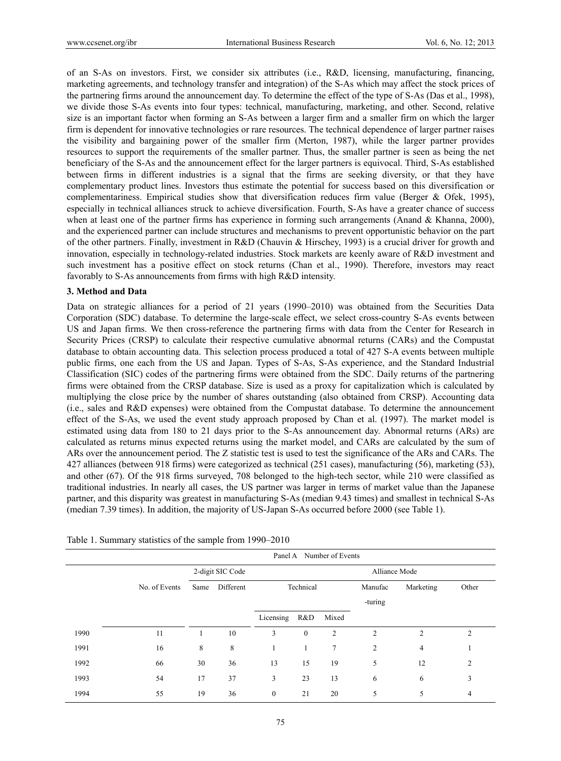of an S-As on investors. First, we consider six attributes (i.e., R&D, licensing, manufacturing, financing, marketing agreements, and technology transfer and integration) of the S-As which may affect the stock prices of the partnering firms around the announcement day. To determine the effect of the type of S-As (Das et al., 1998), we divide those S-As events into four types: technical, manufacturing, marketing, and other. Second, relative size is an important factor when forming an S-As between a larger firm and a smaller firm on which the larger firm is dependent for innovative technologies or rare resources. The technical dependence of larger partner raises the visibility and bargaining power of the smaller firm (Merton, 1987), while the larger partner provides resources to support the requirements of the smaller partner. Thus, the smaller partner is seen as being the net beneficiary of the S-As and the announcement effect for the larger partners is equivocal. Third, S-As established between firms in different industries is a signal that the firms are seeking diversity, or that they have complementary product lines. Investors thus estimate the potential for success based on this diversification or complementariness. Empirical studies show that diversification reduces firm value (Berger & Ofek, 1995), especially in technical alliances struck to achieve diversification. Fourth, S-As have a greater chance of success when at least one of the partner firms has experience in forming such arrangements (Anand & Khanna, 2000), and the experienced partner can include structures and mechanisms to prevent opportunistic behavior on the part of the other partners. Finally, investment in R&D (Chauvin & Hirschey, 1993) is a crucial driver for growth and innovation, especially in technology-related industries. Stock markets are keenly aware of R&D investment and such investment has a positive effect on stock returns (Chan et al., 1990). Therefore, investors may react favorably to S-As announcements from firms with high R&D intensity.

# **3. Method and Data**

Data on strategic alliances for a period of 21 years (1990–2010) was obtained from the Securities Data Corporation (SDC) database. To determine the large-scale effect, we select cross-country S-As events between US and Japan firms. We then cross-reference the partnering firms with data from the Center for Research in Security Prices (CRSP) to calculate their respective cumulative abnormal returns (CARs) and the Compustat database to obtain accounting data. This selection process produced a total of 427 S-A events between multiple public firms, one each from the US and Japan. Types of S-As, S-As experience, and the Standard Industrial Classification (SIC) codes of the partnering firms were obtained from the SDC. Daily returns of the partnering firms were obtained from the CRSP database. Size is used as a proxy for capitalization which is calculated by multiplying the close price by the number of shares outstanding (also obtained from CRSP). Accounting data (i.e., sales and R&D expenses) were obtained from the Compustat database. To determine the announcement effect of the S-As, we used the event study approach proposed by Chan et al. (1997). The market model is estimated using data from 180 to 21 days prior to the S-As announcement day. Abnormal returns (ARs) are calculated as returns minus expected returns using the market model, and CARs are calculated by the sum of ARs over the announcement period. The Z statistic test is used to test the significance of the ARs and CARs. The 427 alliances (between 918 firms) were categorized as technical (251 cases), manufacturing (56), marketing (53), and other (67). Of the 918 firms surveyed, 708 belonged to the high-tech sector, while 210 were classified as traditional industries. In nearly all cases, the US partner was larger in terms of market value than the Japanese partner, and this disparity was greatest in manufacturing S-As (median 9.43 times) and smallest in technical S-As (median 7.39 times). In addition, the majority of US-Japan S-As occurred before 2000 (see Table 1).

|      | Number of Events<br>Panel A |      |                  |                  |               |                |                |                |                |  |
|------|-----------------------------|------|------------------|------------------|---------------|----------------|----------------|----------------|----------------|--|
|      |                             |      | 2-digit SIC Code |                  | Alliance Mode |                |                |                |                |  |
|      | No. of Events               | Same | Different        |                  | Technical     |                | Manufac        | Marketing      | Other          |  |
|      |                             |      |                  |                  |               |                | -turing        |                |                |  |
|      |                             |      |                  | Licensing        | R&D           | Mixed          |                |                |                |  |
| 1990 | 11                          |      | 10               | 3                | $\mathbf{0}$  | $\overline{2}$ | $\overline{c}$ | $\overline{2}$ | $\overline{c}$ |  |
| 1991 | 16                          | 8    | 8                |                  |               | 7              | $\overline{2}$ | 4              |                |  |
| 1992 | 66                          | 30   | 36               | 13               | 15            | 19             | 5              | 12             | 2              |  |
| 1993 | 54                          | 17   | 37               | 3                | 23            | 13             | 6              | 6              | 3              |  |
| 1994 | 55                          | 19   | 36               | $\boldsymbol{0}$ | 21            | 20             | 5              | 5              | 4              |  |

Table 1. Summary statistics of the sample from 1990–2010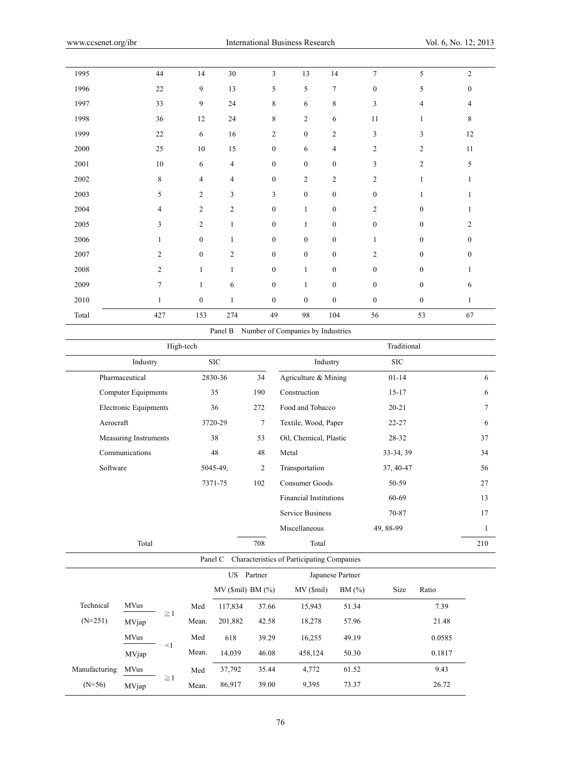| 1995     | 44             | 14               | $30\,$         | $\overline{3}$   | 13               | 14               | $\overline{7}$   | 5                | $\overline{c}$   |
|----------|----------------|------------------|----------------|------------------|------------------|------------------|------------------|------------------|------------------|
| 1996     | $22\,$         | 9                | 13             | $\sqrt{5}$       | 5                | $\tau$           | $\boldsymbol{0}$ | 5                | $\boldsymbol{0}$ |
| 1997     | 33             | 9                | 24             | $\,$ 8 $\,$      | 6                | $\,$ 8 $\,$      | $\mathfrak{Z}$   | $\overline{4}$   | 4                |
| 1998     | 36             | 12               | 24             | $\,$ 8 $\,$      | $\sqrt{2}$       | 6                | $11\,$           | $\mathbf{1}$     | $\,$ 8 $\,$      |
| 1999     | $22\,$         | 6                | 16             | $\sqrt{2}$       | $\mathbf{0}$     | $\overline{2}$   | $\overline{3}$   | 3                | 12               |
| $2000\,$ | $25\,$         | $10\,$           | $15\,$         | $\boldsymbol{0}$ | 6                | $\overline{4}$   | $\overline{c}$   | $\sqrt{2}$       | $11\,$           |
| 2001     | $10\,$         | 6                | $\overline{4}$ | $\boldsymbol{0}$ | $\mathbf{0}$     | $\boldsymbol{0}$ | 3                | $\overline{2}$   | 5                |
| $2002\,$ | $\,$ $\,$      | $\overline{4}$   | $\overline{4}$ | $\boldsymbol{0}$ | $\sqrt{2}$       | $\sqrt{2}$       | $\sqrt{2}$       | $\mathbf{1}$     |                  |
| 2003     | 5              | $\overline{c}$   | 3              | $\mathfrak{Z}$   | $\boldsymbol{0}$ | $\boldsymbol{0}$ | $\boldsymbol{0}$ | 1                |                  |
| 2004     | $\overline{4}$ | $\overline{c}$   | $\overline{c}$ | $\boldsymbol{0}$ | $\mathbf{1}$     | $\boldsymbol{0}$ | $\overline{c}$   | $\boldsymbol{0}$ | 1                |
| 2005     | $\sqrt{3}$     | $\boldsymbol{2}$ | $\mathbf{1}$   | $\boldsymbol{0}$ | $\mathbf{1}$     | $\boldsymbol{0}$ | $\boldsymbol{0}$ | $\boldsymbol{0}$ | 2                |
| 2006     | $\mathbf{1}$   | $\boldsymbol{0}$ | 1              | $\mathbf{0}$     | $\mathbf{0}$     | $\boldsymbol{0}$ | $\mathbf{1}$     | $\bf{0}$         | $\bf{0}$         |
| 2007     | $\overline{c}$ | $\boldsymbol{0}$ | $\overline{2}$ | $\boldsymbol{0}$ | $\boldsymbol{0}$ | $\boldsymbol{0}$ | $\overline{2}$   | $\boldsymbol{0}$ | $\boldsymbol{0}$ |
| $2008\,$ | $\overline{c}$ | $\mathbf{1}$     | $\mathbf{1}$   | $\boldsymbol{0}$ | 1                | $\boldsymbol{0}$ | $\boldsymbol{0}$ | $\boldsymbol{0}$ | 1                |
| 2009     | $\overline{7}$ | 1                | 6              | $\boldsymbol{0}$ | 1                | $\boldsymbol{0}$ | $\boldsymbol{0}$ | $\boldsymbol{0}$ | 6                |
| $2010\,$ | 1              | $\boldsymbol{0}$ | $\mathbf{1}$   | $\boldsymbol{0}$ | $\boldsymbol{0}$ | $\boldsymbol{0}$ | $\boldsymbol{0}$ | $\boldsymbol{0}$ |                  |
| Total    | 427            | 153              | 274            | 49               | 98               | 104              | 56               | 53               | 67               |
|          |                |                  |                |                  |                  |                  |                  |                  |                  |

Panel B Number of Companies by Industries

|               |                               |          | High-tech               |            |                         |                                            |                  | Traditional |        |              |
|---------------|-------------------------------|----------|-------------------------|------------|-------------------------|--------------------------------------------|------------------|-------------|--------|--------------|
|               | Industry                      |          |                         | <b>SIC</b> |                         | Industry                                   |                  | $\rm SIC$   |        |              |
|               | Pharmaceutical                |          |                         | 2830-36    | 34                      | Agriculture & Mining                       |                  | $01 - 14$   |        | 6            |
|               | <b>Computer Equipments</b>    |          |                         | 35         | 190                     | Construction                               |                  | $15 - 17$   |        | 6            |
|               | <b>Electronic Equipments</b>  |          |                         | 36         | 272                     | Food and Tobacco                           |                  | $20 - 21$   |        | 7            |
| Aerocraft     |                               |          |                         | 3720-29    | $\tau$                  | Textile, Wood, Paper                       |                  | $22 - 27$   |        | 6            |
|               | Measuring Instruments         |          |                         | 38         | 53                      | Oil, Chemical, Plastic                     |                  | 28-32       |        | 37           |
|               | Communications                |          |                         | 48         | 48                      | Metal                                      |                  | 33-34, 39   |        | 34           |
| Software      |                               |          |                         | 5045-49,   | $\overline{c}$          | Transportation                             |                  | 37, 40-47   |        | 56           |
|               |                               |          |                         | 7371-75    | 102<br>Consumer Goods   |                                            | 50-59            |             | 27     |              |
|               | <b>Financial Institutions</b> |          |                         | 60-69      |                         | 13                                         |                  |             |        |              |
|               |                               |          | <b>Service Business</b> |            | 70-87                   |                                            | 17               |             |        |              |
|               |                               |          |                         |            |                         | Miscellaneous                              |                  | 49, 88-99   |        | $\mathbf{1}$ |
|               | Total                         |          |                         |            | 708                     | Total                                      |                  |             |        | 210          |
|               |                               |          |                         | Panel C    |                         | Characteristics of Participating Companies |                  |             |        |              |
|               |                               |          |                         |            | US Partner              |                                            | Japanese Partner |             |        |              |
|               |                               |          |                         |            | $MV$ (\$mil) BM $(\%$ ) | MV(Smil)                                   | BM (%)           | Size        | Ratio  |              |
| Technical     | <b>MVus</b>                   |          | Med                     | 117,834    | 37.66                   | 15,943                                     | 51.34            |             | 7.39   |              |
| $(N=251)$     | MVjap                         | $\geq$ 1 | Mean.                   | 201,882    | 42.58                   | 18,278                                     | 57.96            |             | 21.48  |              |
|               | <b>MVus</b>                   |          | Med                     | 618        | 39.29                   | 16,255                                     | 49.19            |             | 0.0585 |              |
|               | MVjap                         | $\leq$ 1 | Mean.                   | 14,039     | 46.08                   | 458,124                                    | 50.30            |             | 0.1817 |              |
| Manufacturing | <b>MVus</b>                   |          | Med                     | 37,792     | 35.44                   | 4,772                                      | 61.52            |             | 9.43   |              |
| $(N=56)$      | MVjap                         | $\geq$ 1 | Mean.                   | 86,917     | 39.00                   | 9,395                                      | 73.37            |             | 26.72  |              |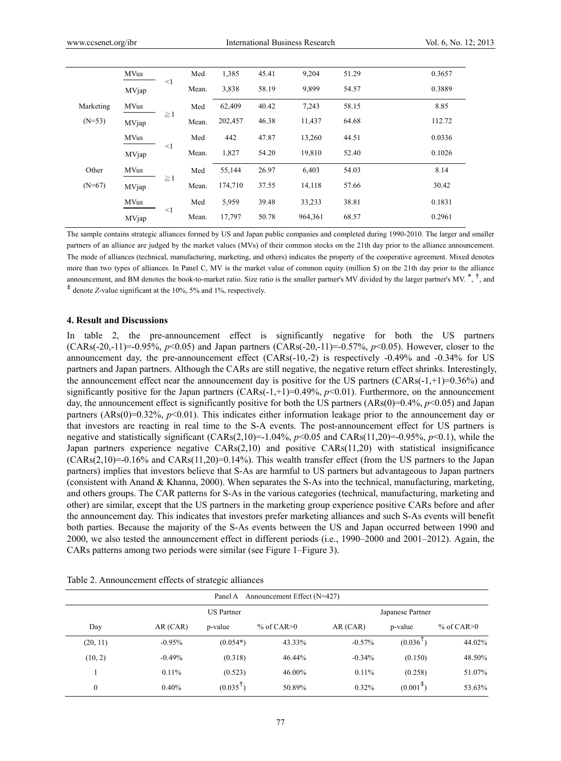|           | <b>MVus</b> |          | Med   | 1,385   | 45.41 | 9,204   | 51.29 | 0.3657 |
|-----------|-------------|----------|-------|---------|-------|---------|-------|--------|
|           | MVjap       | $\leq$ 1 | Mean. | 3,838   | 58.19 | 9,899   | 54.57 | 0.3889 |
| Marketing | <b>MVus</b> |          | Med   | 62,409  | 40.42 | 7,243   | 58.15 | 8.85   |
| $(N=53)$  | MVjap       | $\geq$ 1 | Mean. | 202,457 | 46.38 | 11,437  | 64.68 | 112.72 |
|           | <b>MVus</b> |          | Med   | 442     | 47.87 | 13,260  | 44.51 | 0.0336 |
|           | MVjap       | $\leq$ 1 | Mean. | 1,827   | 54.20 | 19,810  | 52.40 | 0.1026 |
| Other     | <b>MVus</b> |          | Med   | 55,144  | 26.97 | 6,403   | 54.03 | 8.14   |
| $(N=67)$  | MVjap       | $\geq$ 1 | Mean. | 174,710 | 37.55 | 14,118  | 57.66 | 30.42  |
|           | <b>MVus</b> |          | Med   | 5,959   | 39.48 | 33,233  | 38.81 | 0.1831 |
|           | MVjap       | $\leq$ 1 | Mean. | 17,797  | 50.78 | 964,361 | 68.57 | 0.2961 |

The sample contains strategic alliances formed by US and Japan public companies and completed during 1990-2010. The larger and smaller partners of an alliance are judged by the market values (MVs) of their common stocks on the 21th day prior to the alliance announcement. The mode of alliances (technical, manufacturing, marketing, and others) indicates the property of the cooperative agreement. Mixed denotes more than two types of alliances. In Panel C, MV is the market value of common equity (million \$) on the 21th day prior to the alliance announcement, and BM denotes the book-to-market ratio. Size ratio is the smaller partner's MV divided by the larger partner's MV.  $\stackrel{*}{\cdot}$ , and <sup>‡</sup> denote *Z*-value significant at the 10%, 5% and 1%, respectively.

#### **4. Result and Discussions**

In table 2, the pre-announcement effect is significantly negative for both the US partners (CARs(-20,-11)=-0.95%, *p*<0.05) and Japan partners (CARs(-20,-11)=-0.57%, *p*<0.05). However, closer to the announcement day, the pre-announcement effect (CARs(-10,-2) is respectively -0.49% and -0.34% for US partners and Japan partners. Although the CARs are still negative, the negative return effect shrinks. Interestingly, the announcement effect near the announcement day is positive for the US partners (CARs(-1,+1)=0.36%) and significantly positive for the Japan partners  $(CARS(-1,+1)=0.49\%$ ,  $p<0.01)$ . Furthermore, on the announcement day, the announcement effect is significantly positive for both the US partners (ARs(0)=0.4%, *p*<0.05) and Japan partners (ARs(0)=0.32%, *p*<0.01). This indicates either information leakage prior to the announcement day or that investors are reacting in real time to the S-A events. The post-announcement effect for US partners is negative and statistically significant (CARs(2,10)=-1.04%, *p*<0.05 and CARs(11,20)=-0.95%, *p*<0.1), while the Japan partners experience negative CARs(2,10) and positive CARs(11,20) with statistical insignificance  $(CARS(2,10)=0.16\%$  and  $CARS(11,20)=0.14\%$ ). This wealth transfer effect (from the US partners to the Japan partners) implies that investors believe that S-As are harmful to US partners but advantageous to Japan partners (consistent with Anand & Khanna, 2000). When separates the S-As into the technical, manufacturing, marketing, and others groups. The CAR patterns for S-As in the various categories (technical, manufacturing, marketing and other) are similar, except that the US partners in the marketing group experience positive CARs before and after the announcement day. This indicates that investors prefer marketing alliances and such S-As events will benefit both parties. Because the majority of the S-As events between the US and Japan occurred between 1990 and 2000, we also tested the announcement effect in different periods (i.e., 1990–2000 and 2001–2012). Again, the CARs patterns among two periods were similar (see Figure 1–Figure 3).

|              | Panel A<br>Announcement Effect (N=427) |            |                 |          |                         |                 |  |  |  |  |
|--------------|----------------------------------------|------------|-----------------|----------|-------------------------|-----------------|--|--|--|--|
|              | <b>US</b> Partner                      |            |                 |          |                         |                 |  |  |  |  |
| Day          | AR(CAR)                                | p-value    | $%$ of CAR $>0$ | AR (CAR) | p-value                 | $%$ of CAR $>0$ |  |  |  |  |
| (20, 11)     | $-0.95%$                               | $(0.054*)$ | 43.33%          | $-0.57%$ | (0.036)                 | 44.02%          |  |  |  |  |
| (10, 2)      | $-0.49%$                               | (0.318)    | 46.44%          | $-0.34%$ | (0.150)                 | 48.50%          |  |  |  |  |
|              | 0.11%                                  | (0.523)    | 46.00%          | $0.11\%$ | (0.258)                 | 51.07%          |  |  |  |  |
| $\mathbf{0}$ | 0.40%                                  | (0.035)    | 50.89%          | $0.32\%$ | $(0.001^{\frac{1}{2}})$ | 53.63%          |  |  |  |  |

Table 2. Announcement effects of strategic alliances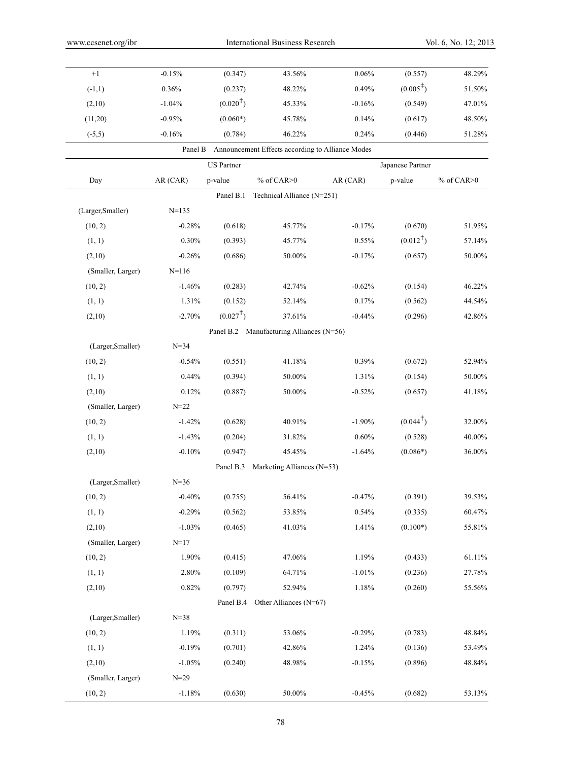| $+1$              | $-0.15%$  | (0.347)             | 43.56%                                                   | 0.06%    | (0.557)              | 48.29%          |
|-------------------|-----------|---------------------|----------------------------------------------------------|----------|----------------------|-----------------|
| $(-1,1)$          | 0.36%     | (0.237)             | 48.22%                                                   | 0.49%    | $(0.005^{\ddagger})$ | 51.50%          |
| (2,10)            | $-1.04%$  | $(0.020^{\dagger})$ | 45.33%                                                   | $-0.16%$ | (0.549)              | 47.01%          |
| (11,20)           | $-0.95%$  | $(0.060*)$          | 45.78%                                                   | 0.14%    | (0.617)              | 48.50%          |
| $(-5,5)$          | $-0.16%$  | (0.784)             | 46.22%                                                   | 0.24%    | (0.446)              | 51.28%          |
|                   |           |                     | Panel B Announcement Effects according to Alliance Modes |          |                      |                 |
|                   |           | <b>US</b> Partner   |                                                          |          | Japanese Partner     |                 |
| Day               | AR (CAR)  | p-value             | % of CAR>0                                               | AR (CAR) | p-value              | $%$ of CAR $>0$ |
|                   |           | Panel B.1           | Technical Alliance (N=251)                               |          |                      |                 |
| (Larger, Smaller) | $N=135$   |                     |                                                          |          |                      |                 |
| (10, 2)           | $-0.28%$  | (0.618)             | 45.77%                                                   | $-0.17%$ | (0.670)              | 51.95%          |
| (1, 1)            | 0.30%     | (0.393)             | 45.77%                                                   | 0.55%    | $(0.012^{\dagger})$  | 57.14%          |
| (2,10)            | $-0.26%$  | (0.686)             | 50.00%                                                   | $-0.17%$ | (0.657)              | 50.00%          |
| (Smaller, Larger) | $N = 116$ |                     |                                                          |          |                      |                 |
| (10, 2)           | $-1.46%$  | (0.283)             | 42.74%                                                   | $-0.62%$ | (0.154)              | 46.22%          |
| (1, 1)            | 1.31%     | (0.152)             | 52.14%                                                   | 0.17%    | (0.562)              | 44.54%          |
| (2,10)            | $-2.70%$  | $(0.027^{\dagger})$ | 37.61%                                                   | $-0.44%$ | (0.296)              | 42.86%          |
|                   |           |                     | Panel B.2 Manufacturing Alliances (N=56)                 |          |                      |                 |
| (Larger, Smaller) | $N = 34$  |                     |                                                          |          |                      |                 |
| (10, 2)           | $-0.54%$  | (0.551)             | 41.18%                                                   | 0.39%    | (0.672)              | 52.94%          |
| (1, 1)            | 0.44%     | (0.394)             | 50.00%                                                   | 1.31%    | (0.154)              | $50.00\%$       |
| (2,10)            | 0.12%     | (0.887)             | 50.00%                                                   | $-0.52%$ | (0.657)              | 41.18%          |
| (Smaller, Larger) | $N = 22$  |                     |                                                          |          |                      |                 |
| (10, 2)           | $-1.42%$  | (0.628)             | 40.91%                                                   | $-1.90%$ | $(0.044^{\dagger})$  | 32.00%          |
| (1, 1)            | $-1.43%$  | (0.204)             | 31.82%                                                   | 0.60%    | (0.528)              | 40.00%          |
| (2,10)            | $-0.10%$  | (0.947)             | 45.45%                                                   | $-1.64%$ | $(0.086*)$           | $36.00\%$       |
|                   |           | Panel B.3           | Marketing Alliances (N=53)                               |          |                      |                 |
| (Larger, Smaller) | $N = 36$  |                     |                                                          |          |                      |                 |
| (10, 2)           | $-0.40%$  | (0.755)             | 56.41%                                                   | $-0.47%$ | (0.391)              | 39.53%          |
| (1, 1)            | $-0.29%$  | (0.562)             | 53.85%                                                   | 0.54%    | (0.335)              | 60.47%          |
| (2,10)            | $-1.03%$  | (0.465)             | 41.03%                                                   | 1.41%    | $(0.100*)$           | 55.81%          |
| (Smaller, Larger) | $N=17$    |                     |                                                          |          |                      |                 |
| (10, 2)           | 1.90%     | (0.415)             | 47.06%                                                   | 1.19%    | (0.433)              | 61.11%          |
| (1, 1)            | 2.80%     | (0.109)             | 64.71%                                                   | $-1.01%$ | (0.236)              | 27.78%          |
| (2,10)            | 0.82%     | (0.797)             | 52.94%                                                   | 1.18%    | (0.260)              | 55.56%          |
|                   |           |                     | Panel B.4 Other Alliances (N=67)                         |          |                      |                 |
| (Larger, Smaller) | $N = 38$  |                     |                                                          |          |                      |                 |
| (10, 2)           | 1.19%     | (0.311)             | 53.06%                                                   | $-0.29%$ | (0.783)              | 48.84%          |
| (1, 1)            | $-0.19%$  | (0.701)             | 42.86%                                                   | 1.24%    | (0.136)              | 53.49%          |
| (2,10)            | $-1.05%$  | (0.240)             | 48.98%                                                   | $-0.15%$ | (0.896)              | 48.84%          |
| (Smaller, Larger) | $N = 29$  |                     |                                                          |          |                      |                 |
| (10, 2)           | $-1.18%$  | (0.630)             | $50.00\%$                                                | $-0.45%$ | (0.682)              | 53.13%          |
|                   |           |                     |                                                          |          |                      |                 |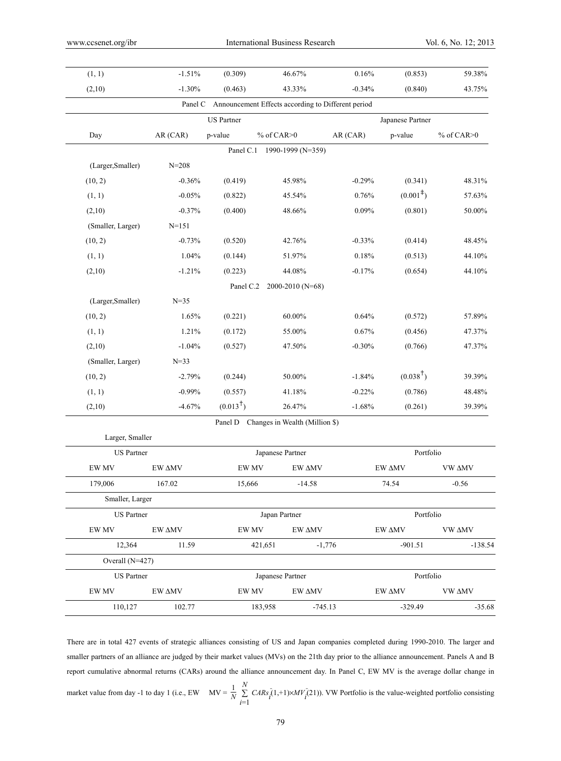| (1, 1)            | $-1.51%$  | (0.309)             | 46.67%                                                     | $0.16\%$  | (0.853)              | 59.38%          |
|-------------------|-----------|---------------------|------------------------------------------------------------|-----------|----------------------|-----------------|
| (2,10)            | $-1.30%$  | (0.463)             | 43.33%                                                     | $-0.34%$  | (0.840)              | 43.75%          |
|                   |           |                     | Panel C Announcement Effects according to Different period |           |                      |                 |
|                   |           | <b>US</b> Partner   |                                                            |           | Japanese Partner     |                 |
| Day               | AR (CAR)  | p-value             | $%$ of CAR $>0$                                            | AR (CAR)  | p-value              | $%$ of CAR $>0$ |
|                   |           | Panel C.1           | 1990-1999 (N=359)                                          |           |                      |                 |
| (Larger, Smaller) | $N = 208$ |                     |                                                            |           |                      |                 |
| (10, 2)           | $-0.36%$  | (0.419)             | 45.98%                                                     | $-0.29%$  | (0.341)              | 48.31%          |
| (1, 1)            | $-0.05%$  | (0.822)             | 45.54%                                                     | 0.76%     | $(0.001^{\ddagger})$ | 57.63%          |
| (2,10)            | $-0.37%$  | (0.400)             | 48.66%                                                     | 0.09%     | (0.801)              | 50.00%          |
| (Smaller, Larger) | $N = 151$ |                     |                                                            |           |                      |                 |
| (10, 2)           | $-0.73%$  | (0.520)             | 42.76%                                                     | $-0.33%$  | (0.414)              | 48.45%          |
| (1, 1)            | 1.04%     | (0.144)             | 51.97%                                                     | $0.18\%$  | (0.513)              | 44.10%          |
| (2,10)            | $-1.21%$  | (0.223)             | 44.08%                                                     | $-0.17%$  | (0.654)              | 44.10%          |
|                   |           | Panel C.2           | 2000-2010 (N=68)                                           |           |                      |                 |
| (Larger, Smaller) | $N = 35$  |                     |                                                            |           |                      |                 |
| (10, 2)           | 1.65%     | (0.221)             | $60.00\%$                                                  | 0.64%     | (0.572)              | 57.89%          |
| (1, 1)            | 1.21%     | (0.172)             | 55.00%                                                     | 0.67%     | (0.456)              | 47.37%          |
| (2,10)            | $-1.04%$  | (0.527)             | 47.50%                                                     | $-0.30%$  | (0.766)              | 47.37%          |
| (Smaller, Larger) | $N = 33$  |                     |                                                            |           |                      |                 |
| (10, 2)           | $-2.79%$  | (0.244)             | 50.00%                                                     | $-1.84%$  | $(0.038^{\dagger})$  | 39.39%          |
| (1, 1)            | $-0.99%$  | (0.557)             | 41.18%                                                     | $-0.22%$  | (0.786)              | 48.48%          |
| (2,10)            | $-4.67%$  | $(0.013^{\dagger})$ | 26.47%                                                     | $-1.68%$  | (0.261)              | 39.39%          |
|                   |           |                     | Panel D Changes in Wealth (Million \$)                     |           |                      |                 |
| Larger, Smaller   |           |                     |                                                            |           |                      |                 |
| <b>US</b> Partner |           |                     | Japanese Partner                                           |           | Portfolio            |                 |
| ${\rm EW~MV}$     | EW AMV    | EW MV               | EW AMV                                                     |           | EW AMV               | VW AMV          |
| 179,006           | 167.02    | 15,666              | $-14.58$                                                   |           | 74.54                | $-0.56$         |
| Smaller, Larger   |           |                     |                                                            |           |                      |                 |
| <b>US</b> Partner |           |                     | Japan Partner                                              |           | Portfolio            |                 |
| EW MV             | EW AMV    | EW MV               | EW AMV                                                     |           | EW AMV               | VW AMV          |
| 12,364            | 11.59     |                     | 421,651                                                    | $-1,776$  | $-901.51$            | $-138.54$       |
| Overall (N=427)   |           |                     |                                                            |           |                      |                 |
| <b>US</b> Partner |           |                     | Japanese Partner                                           |           | Portfolio            |                 |
| EW MV             | EW AMV    | EW MV               | ${\rm EW}$ $\Delta{\rm MV}$                                |           | EW AMV               | <b>VW AMV</b>   |
| 110,127           | 102.77    |                     | 183,958                                                    | $-745.13$ | $-329.49$            | $-35.68$        |

There are in total 427 events of strategic alliances consisting of US and Japan companies completed during 1990-2010. The larger and smaller partners of an alliance are judged by their market values (MVs) on the 21th day prior to the alliance announcement. Panels A and B report cumulative abnormal returns (CARs) around the alliance announcement day. In Panel C, EW MV is the average dollar change in market value from day -1 to day 1 (i.e., EW  $MV = \frac{1}{N} \sum_{i=1}^{N}$ *N*  $CARS<sub>i</sub>(1,+1) \times MV<sub>i</sub>(21)$ ). VW Portfolio is the value-weighted portfolio consisting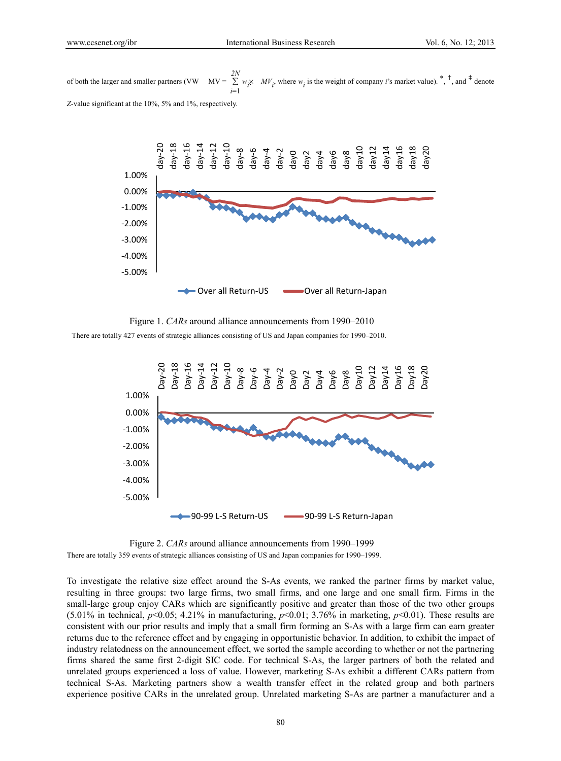of both the larger and smaller partners (VW  $MV = \sum$ *i*=1 *2N*  $w_i \times MV_i$ , where  $w_i$  is the weight of company *i*'s market value).<sup>\*</sup>,<sup>†</sup>, and <sup>‡</sup> denote *Z*-value significant at the 10%, 5% and 1%, respectively.



Figure 1. *CARs* around alliance announcements from 1990–2010

There are totally 427 events of strategic alliances consisting of US and Japan companies for 1990–2010.



Figure 2. *CARs* around alliance announcements from 1990–1999 There are totally 359 events of strategic alliances consisting of US and Japan companies for 1990–1999.

To investigate the relative size effect around the S-As events, we ranked the partner firms by market value, resulting in three groups: two large firms, two small firms, and one large and one small firm. Firms in the small-large group enjoy CARs which are significantly positive and greater than those of the two other groups (5.01% in technical,  $p<0.05$ ; 4.21% in manufacturing,  $p<0.01$ ; 3.76% in marketing,  $p<0.01$ ). These results are consistent with our prior results and imply that a small firm forming an S-As with a large firm can earn greater returns due to the reference effect and by engaging in opportunistic behavior. In addition, to exhibit the impact of industry relatedness on the announcement effect, we sorted the sample according to whether or not the partnering firms shared the same first 2-digit SIC code. For technical S-As, the larger partners of both the related and unrelated groups experienced a loss of value. However, marketing S-As exhibit a different CARs pattern from technical S-As. Marketing partners show a wealth transfer effect in the related group and both partners experience positive CARs in the unrelated group. Unrelated marketing S-As are partner a manufacturer and a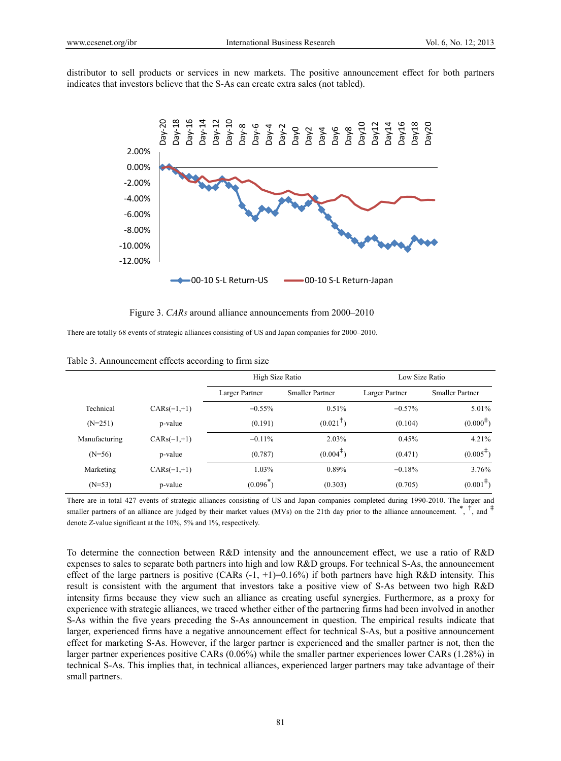distributor to sell products or services in new markets. The positive announcement effect for both partners indicates that investors believe that the S-As can create extra sales (not tabled).



Figure 3. *CARs* around alliance announcements from 2000–2010

There are totally 68 events of strategic alliances consisting of US and Japan companies for 2000–2010.

|               |               | High Size Ratio |                        | Low Size Ratio |                         |
|---------------|---------------|-----------------|------------------------|----------------|-------------------------|
|               |               | Larger Partner  | <b>Smaller Partner</b> | Larger Partner | <b>Smaller Partner</b>  |
| Technical     | $CARS(-1,+1)$ | $-0.55%$        | 0.51%                  | $-0.57%$       | 5.01%                   |
| $(N=251)$     | p-value       | (0.191)         | $(0.021^{\dagger})$    | (0.104)        | $(0.000^{\frac{1}{7}})$ |
| Manufacturing | $CARS(-1,+1)$ | $-0.11%$        | 2.03%                  | 0.45%          | 4.21%                   |
| $(N=56)$      | p-value       | (0.787)         | $(0.004^{\text{+}})$   | (0.471)        | $(0.005^{\text{+}})$    |
| Marketing     | $CARS(-1,+1)$ | 1.03%           | 0.89%                  | $-0.18%$       | 3.76%                   |
| $(N=53)$      | p-value       | $(0.096^{*})$   | (0.303)                | (0.705)        | $(0.001^{\frac{1}{2}})$ |

Table 3. Announcement effects according to firm size

There are in total 427 events of strategic alliances consisting of US and Japan companies completed during 1990-2010. The larger and smaller partners of an alliance are judged by their market values (MVs) on the 21th day prior to the alliance announcement. \*, †, and ‡ denote *Z*-value significant at the 10%, 5% and 1%, respectively.

To determine the connection between R&D intensity and the announcement effect, we use a ratio of R&D expenses to sales to separate both partners into high and low R&D groups. For technical S-As, the announcement effect of the large partners is positive (CARs  $(-1, +1)=0.16\%$ ) if both partners have high R&D intensity. This result is consistent with the argument that investors take a positive view of S-As between two high R&D intensity firms because they view such an alliance as creating useful synergies. Furthermore, as a proxy for experience with strategic alliances, we traced whether either of the partnering firms had been involved in another S-As within the five years preceding the S-As announcement in question. The empirical results indicate that larger, experienced firms have a negative announcement effect for technical S-As, but a positive announcement effect for marketing S-As. However, if the larger partner is experienced and the smaller partner is not, then the larger partner experiences positive CARs (0.06%) while the smaller partner experiences lower CARs (1.28%) in technical S-As. This implies that, in technical alliances, experienced larger partners may take advantage of their small partners.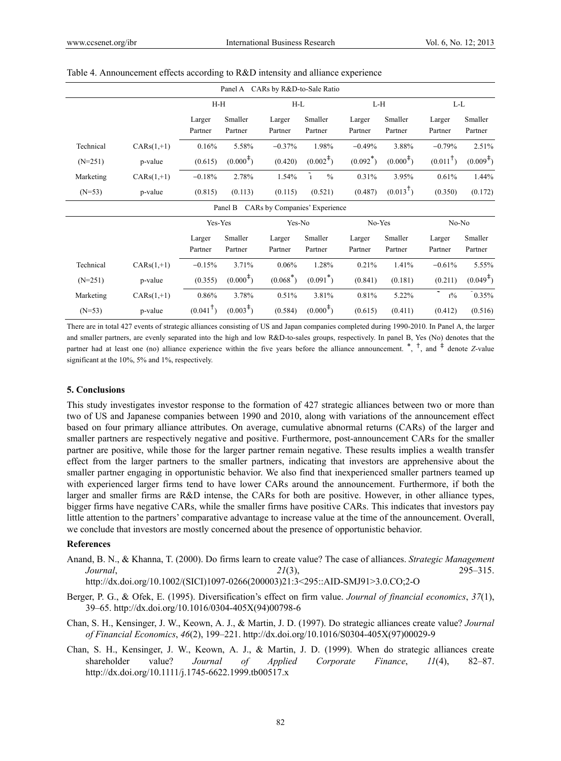|           | Panel A<br>CARs by R&D-to-Sale Ratio |                     |                         |                               |                              |             |                         |                     |                      |  |
|-----------|--------------------------------------|---------------------|-------------------------|-------------------------------|------------------------------|-------------|-------------------------|---------------------|----------------------|--|
|           |                                      | $H-H$               |                         | $H-L$                         |                              | L-H         |                         | L-L                 |                      |  |
|           |                                      | Larger              | Smaller                 | Larger                        | Smaller                      | Larger      | Smaller                 | Larger              | Smaller              |  |
|           |                                      | Partner             | Partner                 | Partner                       | Partner                      | Partner     | Partner                 | Partner             | Partner              |  |
| Technical | $CARS(1,+1)$                         | 0.16%               | 5.58%                   | $-0.37%$                      | 1.98%                        | $-0.49%$    | 3.88%                   | $-0.79%$            | 2.51%                |  |
| $(N=251)$ | p-value                              | (0.615)             | $(0.000^{\text{+}})$    | (0.420)                       | $(0.002^{\ddagger})$         | $(0.092^*)$ | $(0.000^{\frac{4}{3}})$ | $(0.011^{\dagger})$ | $(0.009^{\ddagger})$ |  |
| Marketing | $CARS(1,+1)$                         | $-0.18%$            | 2.78%                   | 1.54%                         | $\tilde{1}$<br>$\frac{0}{0}$ | 0.31%       | 3.95%                   | 0.61%               | 1.44%                |  |
| $(N=53)$  | p-value                              | (0.815)             | (0.113)                 | (0.115)                       | (0.521)                      | (0.487)     | $(0.013^{\dagger})$     | (0.350)             | (0.172)              |  |
|           |                                      |                     | Panel B                 | CARs by Companies' Experience |                              |             |                         |                     |                      |  |
|           |                                      | Yes-Yes             |                         | Yes-No                        |                              | No-Yes      |                         |                     | $No-No$              |  |
|           |                                      | Larger              | Smaller                 | Larger                        | Smaller                      | Larger      | Smaller                 | Larger              | Smaller              |  |
|           |                                      | Partner             | Partner                 | Partner                       | Partner                      | Partner     | Partner                 | Partner             | Partner              |  |
| Technical | $CARS(1,+1)$                         | $-0.15%$            | 3.71%                   | 0.06%                         | 1.28%                        | 0.21%       | 1.41%                   | $-0.61%$            | 5.55%                |  |
| $(N=251)$ | p-value                              | (0.355)             | $(0.000^{\frac{4}{3}})$ | $(0.068^*)$                   | $(0.091^*)$                  | (0.841)     | (0.181)                 | (0.211)             | $(0.049^{\ddagger})$ |  |
| Marketing | $CARS(1,+1)$                         | 0.86%               | 3.78%                   | 0.51%                         | 3.81%                        | 0.81%       | 5.22%                   | $\sim$<br>$1\%$     | 0.35%                |  |
| $(N=53)$  | p-value                              | $(0.041^{\dagger})$ | $(0.003^{\ddagger})$    | (0.584)                       | $(0.000^{\text{+}})$         | (0.615)     | (0.411)                 | (0.412)             | (0.516)              |  |

#### Table 4. Announcement effects according to R&D intensity and alliance experience

There are in total 427 events of strategic alliances consisting of US and Japan companies completed during 1990-2010. In Panel A, the larger and smaller partners, are evenly separated into the high and low R&D-to-sales groups, respectively. In panel B, Yes (No) denotes that the partner had at least one (no) alliance experience within the five years before the alliance announcement. \*, †, and ‡ denote *Z*-value significant at the 10%, 5% and 1%, respectively.

## **5. Conclusions**

This study investigates investor response to the formation of 427 strategic alliances between two or more than two of US and Japanese companies between 1990 and 2010, along with variations of the announcement effect based on four primary alliance attributes. On average, cumulative abnormal returns (CARs) of the larger and smaller partners are respectively negative and positive. Furthermore, post-announcement CARs for the smaller partner are positive, while those for the larger partner remain negative. These results implies a wealth transfer effect from the larger partners to the smaller partners, indicating that investors are apprehensive about the smaller partner engaging in opportunistic behavior. We also find that inexperienced smaller partners teamed up with experienced larger firms tend to have lower CARs around the announcement. Furthermore, if both the larger and smaller firms are R&D intense, the CARs for both are positive. However, in other alliance types, bigger firms have negative CARs, while the smaller firms have positive CARs. This indicates that investors pay little attention to the partners' comparative advantage to increase value at the time of the announcement. Overall, we conclude that investors are mostly concerned about the presence of opportunistic behavior.

#### **References**

Anand, B. N., & Khanna, T. (2000). Do firms learn to create value? The case of alliances. *Strategic Management Journal*, *21*(3), 295–315.

http://dx.doi.org/10.1002/(SICI)1097-0266(200003)21:3<295::AID-SMJ91>3.0.CO;2-O

- Berger, P. G., & Ofek, E. (1995). Diversification's effect on firm value. *Journal of financial economics*, *37*(1), 39–65. http://dx.doi.org/10.1016/0304-405X(94)00798-6
- Chan, S. H., Kensinger, J. W., Keown, A. J., & Martin, J. D. (1997). Do strategic alliances create value? *Journal of Financial Economics*, *46*(2), 199–221. http://dx.doi.org/10.1016/S0304-405X(97)00029-9
- Chan, S. H., Kensinger, J. W., Keown, A. J., & Martin, J. D. (1999). When do strategic alliances create shareholder value? *Journal of Applied Corporate Finance*, *11*(4), 82–87. http://dx.doi.org/10.1111/j.1745-6622.1999.tb00517.x